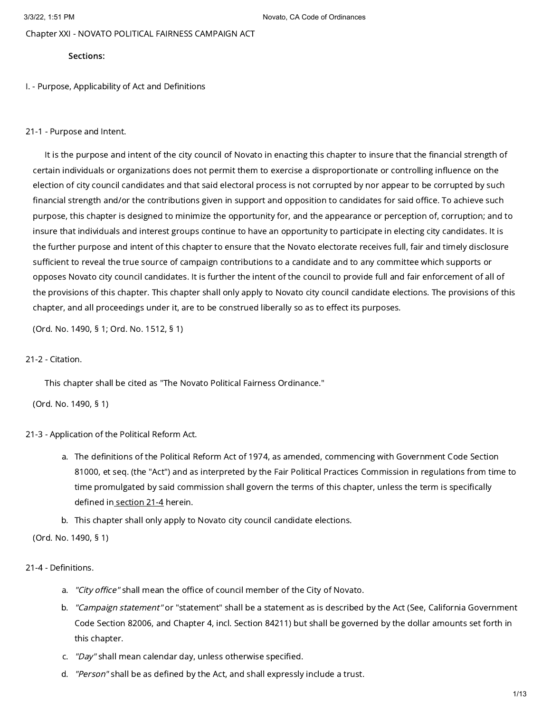Chapter XXI - NOVATO POLITICAL FAIRNESS CAMPAIGN ACT

### Sections:

I. - Purpose, Applicability of Act and Definitions

### 21-1 - Purpose and Intent.

It is the purpose and intent of the city council of Novato in enacting this chapter to insure that the financial strength of certain individuals or organizations does not permit them to exercise a disproportionate or controlling influence on the election of city council candidates and that said electoral process is not corrupted by nor appear to be corrupted by such financial strength and/or the contributions given in support and opposition to candidates for said office. To achieve such purpose, this chapter is designed to minimize the opportunity for, and the appearance or perception of, corruption; and to insure that individuals and interest groups continue to have an opportunity to participate in electing city candidates. It is the further purpose and intent of this chapter to ensure that the Novato electorate receives full, fair and timely disclosure sufficient to reveal the true source of campaign contributions to a candidate and to any committee which supports or opposes Novato city council candidates. It is further the intent of the council to provide full and fair enforcement of all of the provisions of this chapter. This chapter shall only apply to Novato city council candidate elections. The provisions of this chapter, and all proceedings under it, are to be construed liberally so as to effect its purposes.

(Ord. No. 1490, § 1; Ord. No. 1512, § 1)

## 21-2 - Citation.

This chapter shall be cited as "The Novato Political Fairness Ordinance."

(Ord. No. 1490, § 1)

## 21-3 - Application of the Political Reform Act.

- a. The definitions of the Political Reform Act of 1974, as amended, commencing with Government Code Section 81000, et seq. (the "Act") and as interpreted by the Fair Political Practices Commission in regulations from time to time promulgated by said commission shall govern the terms of this chapter, unless the term is specifically defined in [section](https://library.municode.com/) 21-4 herein.
- b. This chapter shall only apply to Novato city council candidate elections.

### (Ord. No. 1490, § 1)

## 21-4 - Definitions.

- a. *"City office"* shall mean the office of council member of the City of Novato.
- b. *"Campaign statement"* or "statement" shall be a statement as is described by the Act (See, California Government Code Section 82006, and Chapter 4, incl. Section 84211) but shall be governed by the dollar amounts set forth in this chapter.
- c. "*Day"* shall mean calendar day, unless otherwise specified.
- d. *"Person"* shall be as defined by the Act, and shall expressly include a trust.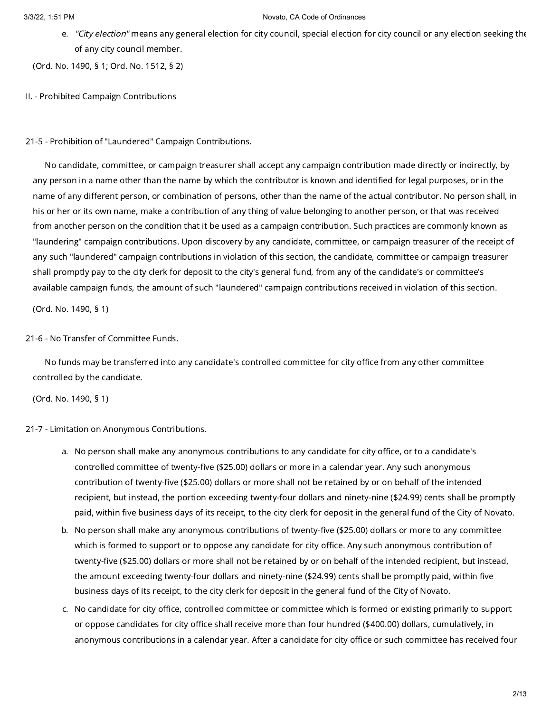e. *"City election"* means any general election for city council, special election for city council or any election seeking th $\epsilon$ of any city council member.

(Ord. No. 1490, § 1; Ord. No. 1512, § 2)

II. - Prohibited Campaign Contributions

21-5 - Prohibition of "Laundered" Campaign Contributions.

No candidate, committee, or campaign treasurer shall accept any campaign contribution made directly or indirectly, by any person in a name other than the name by which the contributor is known and identified for legal purposes, or in the name of any different person, or combination of persons, other than the name of the actual contributor. No person shall, in his or her or its own name, make a contribution of any thing of value belonging to another person, or that was received from another person on the condition that it be used as a campaign contribution. Such practices are commonly known as "laundering" campaign contributions. Upon discovery by any candidate, committee, or campaign treasurer of the receipt of any such "laundered" campaign contributions in violation of this section, the candidate, committee or campaign treasurer shall promptly pay to the city clerk for deposit to the city's general fund, from any of the candidate's or committee's available campaign funds, the amount of such "laundered" campaign contributions received in violation of this section.

(Ord. No. 1490, § 1)

# 21-6 - No Transfer of Committee Funds.

No funds may be transferred into any candidate's controlled committee for city office from any other committee controlled by the candidate.

(Ord. No. 1490, § 1)

# 21-7 - Limitation on Anonymous Contributions.

- a. No person shall make any anonymous contributions to any candidate for city office, or to a candidate's controlled committee of twenty-five (\$25.00) dollars or more in a calendar year. Any such anonymous contribution of twenty-five (\$25.00) dollars or more shall not be retained by or on behalf of the intended recipient, but instead, the portion exceeding twenty-four dollars and ninety-nine (\$24.99) cents shall be promptly paid, within five business days of its receipt, to the city clerk for deposit in the general fund of the City of Novato.
- b. No person shall make any anonymous contributions of twenty-five (\$25.00) dollars or more to any committee which is formed to support or to oppose any candidate for city office. Any such anonymous contribution of twenty-five (\$25.00) dollars or more shall not be retained by or on behalf of the intended recipient, but instead, the amount exceeding twenty-four dollars and ninety-nine (\$24.99) cents shall be promptly paid, within five business days of its receipt, to the city clerk for deposit in the general fund of the City of Novato.
- c. No candidate for city office, controlled committee or committee which is formed or existing primarily to support or oppose candidates for city office shall receive more than four hundred (\$400.00) dollars, cumulatively, in anonymous contributions in a calendar year. After a candidate for city office or such committee has received four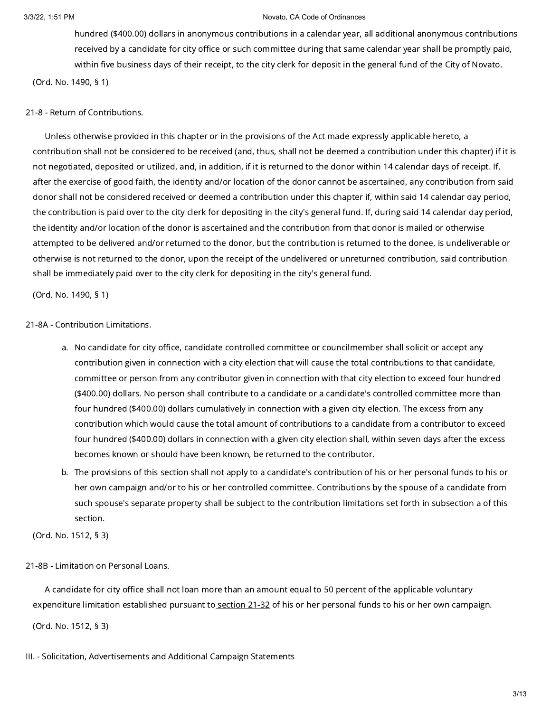hundred (\$400.00) dollars in anonymous contributions in a calendar year, all additional anonymous contributions received by a candidate for city office or such committee during that same calendar year shall be promptly paid, within five business days of their receipt, to the city clerk for deposit in the general fund of the City of Novato. (Ord. No. 1490, § 1)

21-8 - Return of Contributions.

Unless otherwise provided in this chapter or in the provisions of the Act made expressly applicable hereto, a contribution shall not be considered to be received (and, thus, shall not be deemed a contribution under this chapter) if it is not negotiated, deposited or utilized, and, in addition, if it is returned to the donor within 14 calendar days of receipt. If, after the exercise of good faith, the identity and/or location of the donor cannot be ascertained, any contribution from said donor shall not be considered received or deemed a contribution under this chapter if, within said 14 calendar day period, the contribution is paid over to the city clerk for depositing in the city's general fund. If, during said 14 calendar day period, the identity and/or location of the donor is ascertained and the contribution from that donor is mailed or otherwise attempted to be delivered and/or returned to the donor, but the contribution is returned to the donee, is undeliverable or otherwise is not returned to the donor, upon the receipt of the undelivered or unreturned contribution, said contribution shall be immediately paid over to the city clerk for depositing in the city's general fund.

(Ord. No. 1490, § 1)

21-8A - Contribution Limitations.

- a. No candidate for city office, candidate controlled committee or councilmember shall solicit or accept any contribution given in connection with a city election that will cause the total contributions to that candidate, committee or person from any contributor given in connection with that city election to exceed four hundred (\$400.00) dollars. No person shall contribute to a candidate or a candidate's controlled committee more than four hundred (\$400.00) dollars cumulatively in connection with a given city election. The excess from any contribution which would cause the total amount of contributions to a candidate from a contributor to exceed four hundred (\$400.00) dollars in connection with a given city election shall, within seven days after the excess becomes known or should have been known, be returned to the contributor.
- b. The provisions of this section shall not apply to a candidate's contribution of his or her personal funds to his or her own campaign and/or to his or her controlled committee. Contributions by the spouse of a candidate from such spouse's separate property shall be subject to the contribution limitations set forth in subsection a of this section.

(Ord. No. 1512, § 3)

21-8B - Limitation on Personal Loans.

A candidate for city office shall not loan more than an amount equal to 50 percent of the applicable voluntary expenditure limitation established pursuant to [section](https://library.municode.com/) 21-32 of his or her personal funds to his or her own campaign.

(Ord. No. 1512, § 3)

III. - Solicitation, Advertisements and Additional Campaign Statements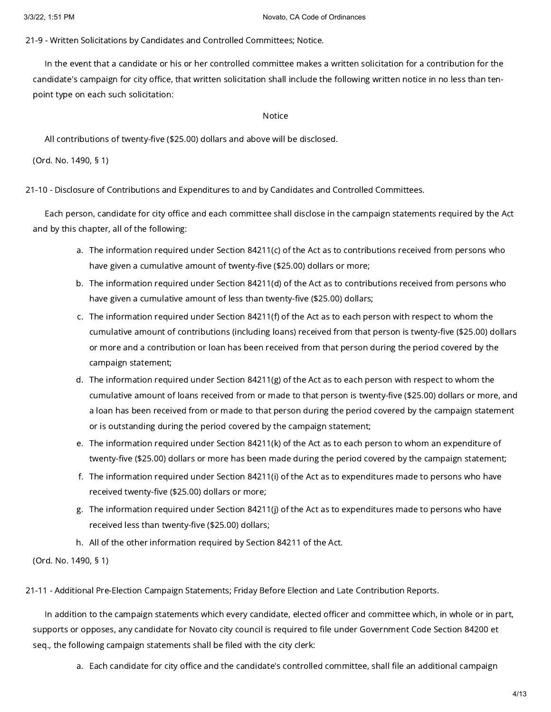21-9 - Written Solicitations by Candidates and Controlled Committees; Notice.

In the event that a candidate or his or her controlled committee makes a written solicitation for a contribution for the candidate's campaign for city office, that written solicitation shall include the following written notice in no less than tenpoint type on each such solicitation:

### Notice

All contributions of twenty-five (\$25.00) dollars and above will be disclosed.

(Ord. No. 1490, § 1)

21-10 - Disclosure of Contributions and Expenditures to and by Candidates and Controlled Committees.

Each person, candidate for city office and each committee shall disclose in the campaign statements required by the Act and by this chapter, all of the following:

- a. The information required under Section 84211(c) of the Act as to contributions received from persons who have given a cumulative amount of twenty-five (\$25.00) dollars or more;
- b. The information required under Section 84211(d) of the Act as to contributions received from persons who have given a cumulative amount of less than twenty-five (\$25.00) dollars;
- c. The information required under Section 84211(f) of the Act as to each person with respect to whom the cumulative amount of contributions (including loans) received from that person is twenty-five (\$25.00) dollars or more and a contribution or loan has been received from that person during the period covered by the campaign statement;
- d. The information required under Section 84211(g) of the Act as to each person with respect to whom the cumulative amount of loans received from or made to that person is twenty-five (\$25.00) dollars or more, and a loan has been received from or made to that person during the period covered by the campaign statement or is outstanding during the period covered by the campaign statement;
- e. The information required under Section 84211(k) of the Act as to each person to whom an expenditure of twenty-five (\$25.00) dollars or more has been made during the period covered by the campaign statement;
- f. The information required under Section 84211(i) of the Act as to expenditures made to persons who have received twenty-five (\$25.00) dollars or more;
- g. The information required under Section 84211(j) of the Act as to expenditures made to persons who have received less than twenty-five (\$25.00) dollars;
- h. All of the other information required by Section 84211 of the Act.

(Ord. No. 1490, § 1)

21-11 - Additional Pre-Election Campaign Statements; Friday Before Election and Late Contribution Reports.

In addition to the campaign statements which every candidate, elected officer and committee which, in whole or in part, supports or opposes, any candidate for Novato city council is required to file under Government Code Section 84200 et seq., the following campaign statements shall be filed with the city clerk:

a. Each candidate for city office and the candidate's controlled committee, shall file an additional campaign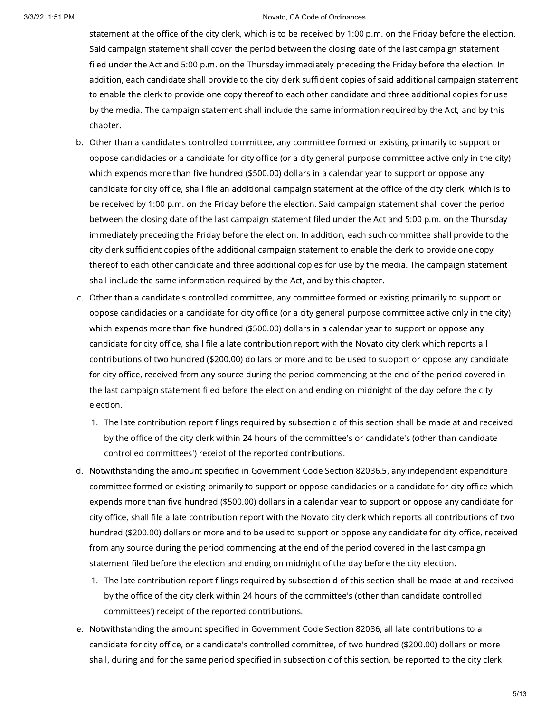statement at the office of the city clerk, which is to be received by 1:00 p.m. on the Friday before the election. Said campaign statement shall cover the period between the closing date of the last campaign statement filed under the Act and 5:00 p.m. on the Thursday immediately preceding the Friday before the election. In addition, each candidate shall provide to the city clerk sufficient copies of said additional campaign statement to enable the clerk to provide one copy thereof to each other candidate and three additional copies for use by the media. The campaign statement shall include the same information required by the Act, and by this chapter.

- b. Other than a candidate's controlled committee, any committee formed or existing primarily to support or oppose candidacies or a candidate for city office (or a city general purpose committee active only in the city) which expends more than five hundred (\$500.00) dollars in a calendar year to support or oppose any candidate for city office, shall file an additional campaign statement at the office of the city clerk, which is to be received by 1:00 p.m. on the Friday before the election. Said campaign statement shall cover the period between the closing date of the last campaign statement filed under the Act and 5:00 p.m. on the Thursday immediately preceding the Friday before the election. In addition, each such committee shall provide to the city clerk sufficient copies of the additional campaign statement to enable the clerk to provide one copy thereof to each other candidate and three additional copies for use by the media. The campaign statement shall include the same information required by the Act, and by this chapter.
- c. Other than a candidate's controlled committee, any committee formed or existing primarily to support or oppose candidacies or a candidate for city office (or a city general purpose committee active only in the city) which expends more than five hundred (\$500.00) dollars in a calendar year to support or oppose any candidate for city office, shall file a late contribution report with the Novato city clerk which reports all contributions of two hundred (\$200.00) dollars or more and to be used to support or oppose any candidate for city office, received from any source during the period commencing at the end of the period covered in the last campaign statement filed before the election and ending on midnight of the day before the city election.
	- 1. The late contribution report filings required by subsection c of this section shall be made at and received by the office of the city clerk within 24 hours of the committee's or candidate's (other than candidate controlled committees') receipt of the reported contributions.
- d. Notwithstanding the amount specified in Government Code Section 82036.5, any independent expenditure committee formed or existing primarily to support or oppose candidacies or a candidate for city office which expends more than five hundred (\$500.00) dollars in a calendar year to support or oppose any candidate for city office, shall file a late contribution report with the Novato city clerk which reports all contributions of two hundred (\$200.00) dollars or more and to be used to support or oppose any candidate for city office, received from any source during the period commencing at the end of the period covered in the last campaign statement filed before the election and ending on midnight of the day before the city election.
	- 1. The late contribution report filings required by subsection d of this section shall be made at and received by the office of the city clerk within 24 hours of the committee's (other than candidate controlled committees') receipt of the reported contributions.
- e. Notwithstanding the amount specified in Government Code Section 82036, all late contributions to a candidate for city office, or a candidate's controlled committee, of two hundred (\$200.00) dollars or more shall, during and for the same period specified in subsection c of this section, be reported to the city clerk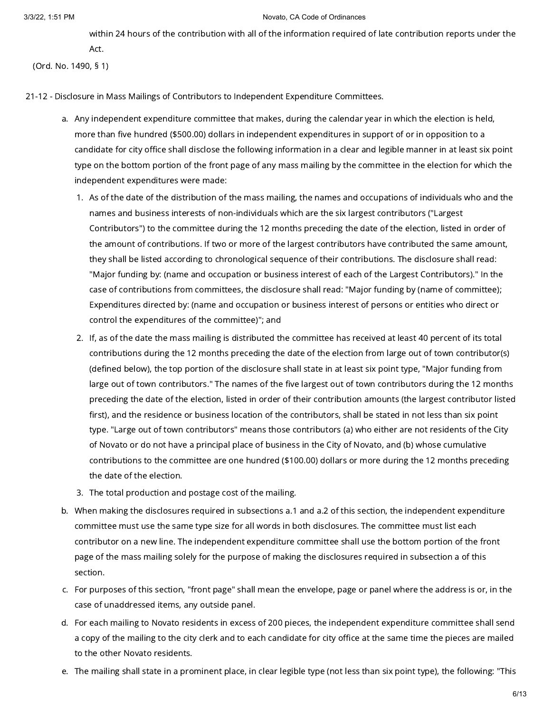#### 3/3/22, 1:51 PM  $\overline{a}$  PM  $\overline{b}$  PM  $\overline{c}$  PM  $\overline{c}$  PM  $\overline{c}$  PM  $\overline{c}$  PM  $\overline{c}$  PM  $\overline{c}$  PM  $\overline{c}$  PM  $\overline{c}$  PM  $\overline{c}$  PM  $\overline{c}$  PM  $\overline{c}$  PM  $\overline{c}$  PM  $\overline{c}$  PM  $\overline{c}$  PM  $\overline{c}$  PM  $\$

within 24 hours of the contribution with all of the information required of late contribution reports under the Act.

(Ord. No. 1490, § 1)

21-12 - Disclosure in Mass Mailings of Contributors to Independent Expenditure Committees.

- a. Any independent expenditure committee that makes, during the calendar year in which the election is held, more than five hundred (\$500.00) dollars in independent expenditures in support of or in opposition to a candidate for city office shall disclose the following information in a clear and legible manner in at least six point type on the bottom portion of the front page of any mass mailing by the committee in the election for which the independent expenditures were made:
	- 1. As of the date of the distribution of the mass mailing, the names and occupations of individuals who and the names and business interests of non-individuals which are the six largest contributors ("Largest Contributors") to the committee during the 12 months preceding the date of the election, listed in order of the amount of contributions. If two or more of the largest contributors have contributed the same amount, they shall be listed according to chronological sequence of their contributions. The disclosure shall read: "Major funding by: (name and occupation or business interest of each of the Largest Contributors)." In the case of contributions from committees, the disclosure shall read: "Major funding by (name of committee); Expenditures directed by: (name and occupation or business interest of persons or entities who direct or control the expenditures of the committee)"; and
	- 2. If, as of the date the mass mailing is distributed the committee has received at least 40 percent of its total contributions during the 12 months preceding the date of the election from large out of town contributor(s) (defined below), the top portion of the disclosure shall state in at least six point type, "Major funding from large out of town contributors." The names of the five largest out of town contributors during the 12 months preceding the date of the election, listed in order of their contribution amounts (the largest contributor listed first), and the residence or business location of the contributors, shall be stated in not less than six point type. "Large out of town contributors" means those contributors (a) who either are not residents of the City of Novato or do not have a principal place of business in the City of Novato, and (b) whose cumulative contributions to the committee are one hundred (\$100.00) dollars or more during the 12 months preceding the date of the election.
	- 3. The total production and postage cost of the mailing.
- b. When making the disclosures required in subsections a.1 and a.2 of this section, the independent expenditure committee must use the same type size for all words in both disclosures. The committee must list each contributor on a new line. The independent expenditure committee shall use the bottom portion of the front page of the mass mailing solely for the purpose of making the disclosures required in subsection a of this section.
- c. For purposes of this section, "front page" shall mean the envelope, page or panel where the address is or, in the case of unaddressed items, any outside panel.
- d. For each mailing to Novato residents in excess of 200 pieces, the independent expenditure committee shall send a copy of the mailing to the city clerk and to each candidate for city office at the same time the pieces are mailed to the other Novato residents.
- e. The mailing shall state in a prominent place, in clear legible type (not less than six point type), the following: "This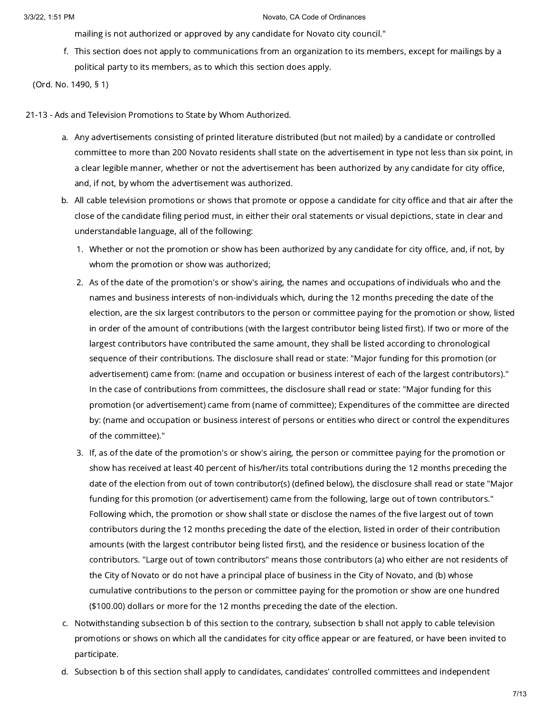mailing is not authorized or approved by any candidate for Novato city council."

f. This section does not apply to communications from an organization to its members, except for mailings by a political party to its members, as to which this section does apply.

(Ord. No. 1490, § 1)

- 21-13 Ads and Television Promotions to State by Whom Authorized.
	- a. Any advertisements consisting of printed literature distributed (but not mailed) by a candidate or controlled committee to more than 200 Novato residents shall state on the advertisement in type not less than six point, in a clear legible manner, whether or not the advertisement has been authorized by any candidate for city office, and, if not, by whom the advertisement was authorized.
	- b. All cable television promotions or shows that promote or oppose a candidate for city office and that air after the close of the candidate filing period must, in either their oral statements or visual depictions, state in clear and understandable language, all of the following:
		- 1. Whether or not the promotion or show has been authorized by any candidate for city office, and, if not, by whom the promotion or show was authorized;
		- 2. As of the date of the promotion's or show's airing, the names and occupations of individuals who and the names and business interests of non-individuals which, during the 12 months preceding the date of the election, are the six largest contributors to the person or committee paying for the promotion or show, listed in order of the amount of contributions (with the largest contributor being listed first). If two or more of the largest contributors have contributed the same amount, they shall be listed according to chronological sequence of their contributions. The disclosure shall read or state: "Major funding for this promotion (or advertisement) came from: (name and occupation or business interest of each of the largest contributors)." In the case of contributions from committees, the disclosure shall read or state: "Major funding for this promotion (or advertisement) came from (name of committee); Expenditures of the committee are directed by: (name and occupation or business interest of persons or entities who direct or control the expenditures of the committee)."
		- 3. If, as of the date of the promotion's or show's airing, the person or committee paying for the promotion or show has received at least 40 percent of his/her/its total contributions during the 12 months preceding the date of the election from out of town contributor(s) (defined below), the disclosure shall read or state "Major funding for this promotion (or advertisement) came from the following, large out of town contributors." Following which, the promotion or show shall state or disclose the names of the five largest out of town contributors during the 12 months preceding the date of the election, listed in order of their contribution amounts (with the largest contributor being listed first), and the residence or business location of the contributors. "Large out of town contributors" means those contributors (a) who either are not residents of the City of Novato or do not have a principal place of business in the City of Novato, and (b) whose cumulative contributions to the person or committee paying for the promotion or show are one hundred (\$100.00) dollars or more for the 12 months preceding the date of the election.
	- c. Notwithstanding subsection b of this section to the contrary, subsection b shall not apply to cable television promotions or shows on which all the candidates for city office appear or are featured, or have been invited to participate.
	- d. Subsection b of this section shall apply to candidates, candidates' controlled committees and independent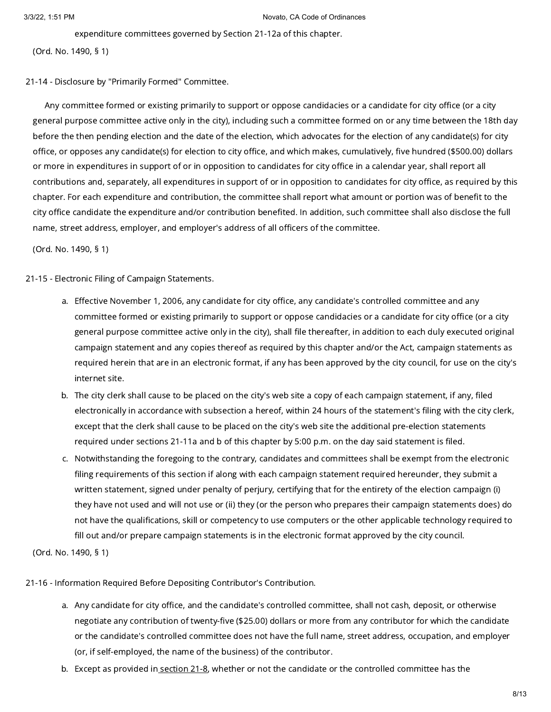expenditure committees governed by Section 21-12a of this chapter.

(Ord. No. 1490, § 1)

21-14 - Disclosure by "Primarily Formed" Committee.

Any committee formed or existing primarily to support or oppose candidacies or a candidate for city office (or a city general purpose committee active only in the city), including such a committee formed on or any time between the 18th day before the then pending election and the date of the election, which advocates for the election of any candidate(s) for city office, or opposes any candidate(s) for election to city office, and which makes, cumulatively, five hundred (\$500.00) dollars or more in expenditures in support of or in opposition to candidates for city office in a calendar year, shall report all contributions and, separately, all expenditures in support of or in opposition to candidates for city office, as required by this chapter. For each expenditure and contribution, the committee shall report what amount or portion was of benefit to the city office candidate the expenditure and/or contribution benefited. In addition, such committee shall also disclose the full name, street address, employer, and employer's address of all officers of the committee.

(Ord. No. 1490, § 1)

21-15 - Electronic Filing of Campaign Statements.

- a. Effective November 1, 2006, any candidate for city office, any candidate's controlled committee and any committee formed or existing primarily to support or oppose candidacies or a candidate for city office (or a city general purpose committee active only in the city), shall file thereafter, in addition to each duly executed original campaign statement and any copies thereof as required by this chapter and/or the Act, campaign statements as required herein that are in an electronic format, if any has been approved by the city council, for use on the city's internet site.
- b. The city clerk shall cause to be placed on the city's web site a copy of each campaign statement, if any, filed electronically in accordance with subsection a hereof, within 24 hours of the statement's filing with the city clerk, except that the clerk shall cause to be placed on the city's web site the additional pre-election statements required under sections 21-11a and b of this chapter by 5:00 p.m. on the day said statement is filed.
- c. Notwithstanding the foregoing to the contrary, candidates and committees shall be exempt from the electronic filing requirements of this section if along with each campaign statement required hereunder, they submit a written statement, signed under penalty of perjury, certifying that for the entirety of the election campaign (i) they have not used and will not use or (ii) they (or the person who prepares their campaign statements does) do not have the qualifications, skill or competency to use computers or the other applicable technology required to fill out and/or prepare campaign statements is in the electronic format approved by the city council.

(Ord. No. 1490, § 1)

21-16 - Information Required Before Depositing Contributor's Contribution.

- a. Any candidate for city office, and the candidate's controlled committee, shall not cash, deposit, or otherwise negotiate any contribution of twenty-five (\$25.00) dollars or more from any contributor for which the candidate or the candidate's controlled committee does not have the full name, street address, occupation, and employer (or, if self-employed, the name of the business) of the contributor.
- b. Except as provided in <u>[section](https://library.municode.com/) 21-8</u>, whether or not the candidate or the controlled committee has the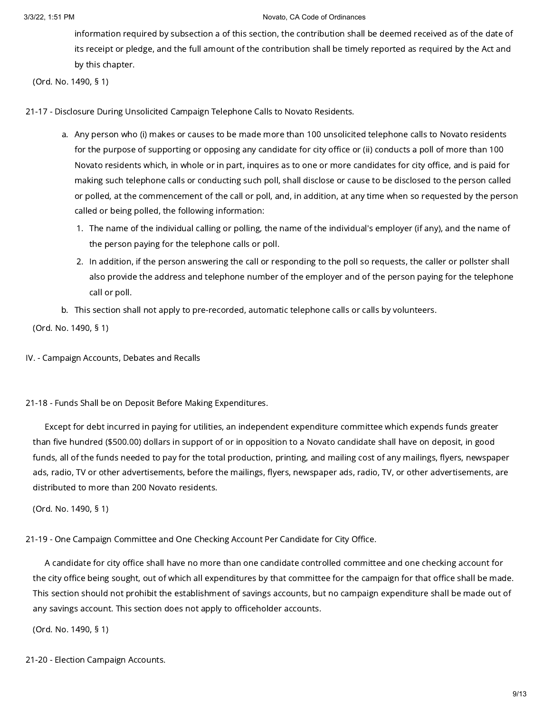information required by subsection a of this section, the contribution shall be deemed received as of the date of its receipt or pledge, and the full amount of the contribution shall be timely reported as required by the Act and by this chapter.

(Ord. No. 1490, § 1)

21-17 - Disclosure During Unsolicited Campaign Telephone Calls to Novato Residents.

- a. Any person who (i) makes or causes to be made more than 100 unsolicited telephone calls to Novato residents for the purpose of supporting or opposing any candidate for city office or (ii) conducts a poll of more than 100 Novato residents which, in whole or in part, inquires as to one or more candidates for city office, and is paid for making such telephone calls or conducting such poll, shall disclose or cause to be disclosed to the person called or polled, at the commencement of the call or poll, and, in addition, at any time when so requested by the person called or being polled, the following information:
	- 1. The name of the individual calling or polling, the name of the individual's employer (if any), and the name of the person paying for the telephone calls or poll.
	- 2. In addition, if the person answering the call or responding to the poll so requests, the caller or pollster shall also provide the address and telephone number of the employer and of the person paying for the telephone call or poll.
- b. This section shall not apply to pre-recorded, automatic telephone calls or calls by volunteers.

(Ord. No. 1490, § 1)

- IV. Campaign Accounts, Debates and Recalls
- 21-18 Funds Shall be on Deposit Before Making Expenditures.

Except for debt incurred in paying for utilities, an independent expenditure committee which expends funds greater than five hundred (\$500.00) dollars in support of or in opposition to a Novato candidate shall have on deposit, in good funds, all of the funds needed to pay for the total production, printing, and mailing cost of any mailings, flyers, newspaper ads, radio, TV or other advertisements, before the mailings, flyers, newspaper ads, radio, TV, or other advertisements, are distributed to more than 200 Novato residents.

(Ord. No. 1490, § 1)

21-19 - One Campaign Committee and One Checking Account Per Candidate for City Office.

A candidate for city office shall have no more than one candidate controlled committee and one checking account for the city office being sought, out of which all expenditures by that committee for the campaign for that office shall be made. This section should not prohibit the establishment of savings accounts, but no campaign expenditure shall be made out of any savings account. This section does not apply to officeholder accounts.

(Ord. No. 1490, § 1)

21-20 - Election Campaign Accounts.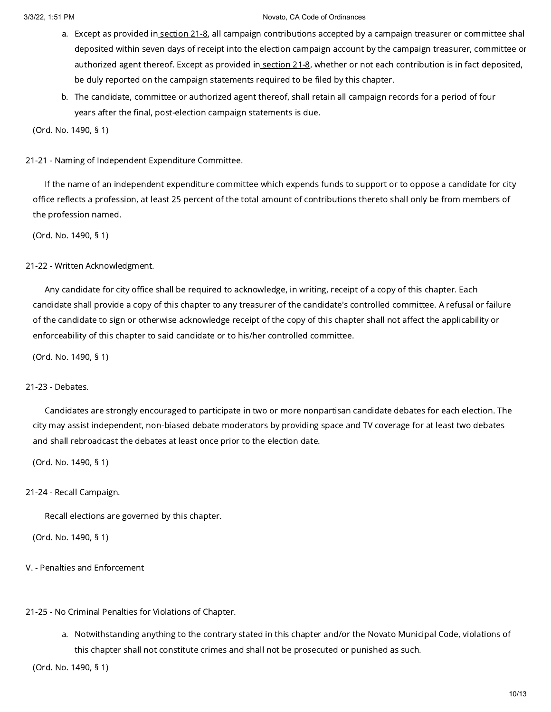- a. Except as provided in <u>[section](https://library.municode.com/) 21-8</u>, all campaign contributions accepted by a campaign treasurer or committee shal deposited within seven days of receipt into the election campaign account by the campaign treasurer, committee or authorized agent thereof. Except as provided in [section](https://library.municode.com/) 21-8, whether or not each contribution is in fact deposited, be duly reported on the campaign statements required to be filed by this chapter.
- b. The candidate, committee or authorized agent thereof, shall retain all campaign records for a period of four years after the final, post-election campaign statements is due.

(Ord. No. 1490, § 1)

21-21 - Naming of Independent Expenditure Committee.

If the name of an independent expenditure committee which expends funds to support or to oppose a candidate for city office reflects a profession, at least 25 percent of the total amount of contributions thereto shall only be from members of the profession named.

(Ord. No. 1490, § 1)

### 21-22 - Written Acknowledgment.

Any candidate for city office shall be required to acknowledge, in writing, receipt of a copy of this chapter. Each candidate shall provide a copy of this chapter to any treasurer of the candidate's controlled committee. A refusal or failure of the candidate to sign or otherwise acknowledge receipt of the copy of this chapter shall not affect the applicability or enforceability of this chapter to said candidate or to his/her controlled committee.

(Ord. No. 1490, § 1)

## 21-23 - Debates.

Candidates are strongly encouraged to participate in two or more nonpartisan candidate debates for each election. The city may assist independent, non-biased debate moderators by providing space and TV coverage for at least two debates and shall rebroadcast the debates at least once prior to the election date.

(Ord. No. 1490, § 1)

### 21-24 - Recall Campaign.

Recall elections are governed by this chapter.

(Ord. No. 1490, § 1)

V. - Penalties and Enforcement

21-25 - No Criminal Penalties for Violations of Chapter.

a. Notwithstanding anything to the contrary stated in this chapter and/or the Novato Municipal Code, violations of this chapter shall not constitute crimes and shall not be prosecuted or punished as such.

(Ord. No. 1490, § 1)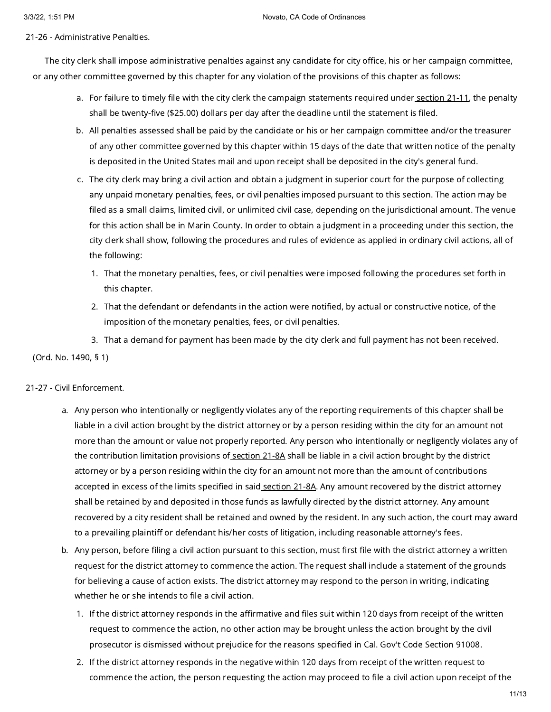21-26 - Administrative Penalties.

The city clerk shall impose administrative penalties against any candidate for city office, his or her campaign committee, or any other committee governed by this chapter for any violation of the provisions of this chapter as follows:

- a. For failure to timely file with the city clerk the campaign statements required under<u> [section](https://library.municode.com/) 21-11</u>, the penalty shall be twenty-five (\$25.00) dollars per day after the deadline until the statement is filed.
- b. All penalties assessed shall be paid by the candidate or his or her campaign committee and/or the treasurer of any other committee governed by this chapter within 15 days of the date that written notice of the penalty is deposited in the United States mail and upon receipt shall be deposited in the city's general fund.
- c. The city clerk may bring a civil action and obtain a judgment in superior court for the purpose of collecting any unpaid monetary penalties, fees, or civil penalties imposed pursuant to this section. The action may be filed as a small claims, limited civil, or unlimited civil case, depending on the jurisdictional amount. The venue for this action shall be in Marin County. In order to obtain a judgment in a proceeding under this section, the city clerk shall show, following the procedures and rules of evidence as applied in ordinary civil actions, all of the following:
	- 1. That the monetary penalties, fees, or civil penalties were imposed following the procedures set forth in this chapter.
	- 2. That the defendant or defendants in the action were notified, by actual or constructive notice, of the imposition of the monetary penalties, fees, or civil penalties.
	- 3. That a demand for payment has been made by the city clerk and full payment has not been received.

(Ord. No. 1490, § 1)

## 21-27 - Civil Enforcement.

- a. Any person who intentionally or negligently violates any of the reporting requirements of this chapter shall be liable in a civil action brought by the district attorney or by a person residing within the city for an amount not more than the amount or value not properly reported. Any person who intentionally or negligently violates any of the contribution limitation provisions of [section](https://library.municode.com/) 21-8A shall be liable in a civil action brought by the district attorney or by a person residing within the city for an amount not more than the amount of contributions accepted in excess of the limits specified in said [section](https://library.municode.com/) 21-8A. Any amount recovered by the district attorney shall be retained by and deposited in those funds as lawfully directed by the district attorney. Any amount recovered by a city resident shall be retained and owned by the resident. In any such action, the court may award to a prevailing plaintiff or defendant his/her costs of litigation, including reasonable attorney's fees.
- b. Any person, before filing a civil action pursuant to this section, must first file with the district attorney a written request for the district attorney to commence the action. The request shall include a statement of the grounds for believing a cause of action exists. The district attorney may respond to the person in writing, indicating whether he or she intends to file a civil action.
	- 1. If the district attorney responds in the affirmative and files suit within 120 days from receipt of the written request to commence the action, no other action may be brought unless the action brought by the civil prosecutor is dismissed without prejudice for the reasons specified in Cal. Gov't Code Section 91008.
	- 2. If the district attorney responds in the negative within 120 days from receipt of the written request to commence the action, the person requesting the action may proceed to file a civil action upon receipt of the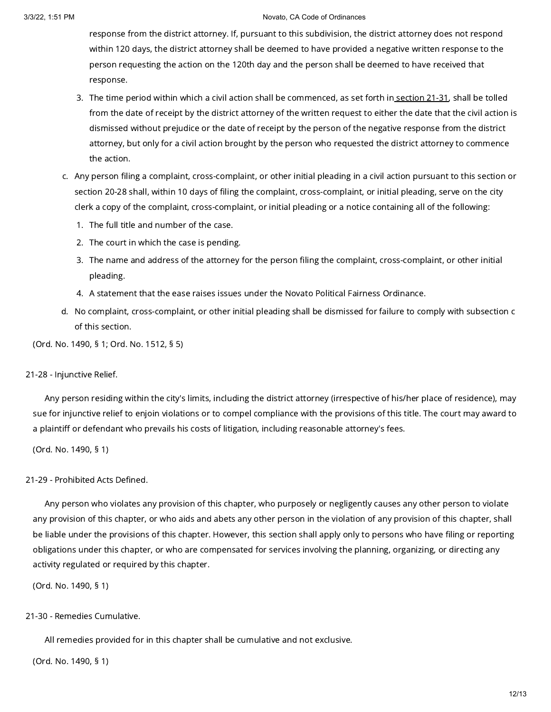response from the district attorney. If, pursuant to this subdivision, the district attorney does not respond within 120 days, the district attorney shall be deemed to have provided a negative written response to the person requesting the action on the 120th day and the person shall be deemed to have received that response.

- 3. The time period within which a civil action shall be commenced, as set forth in <u>[section](https://library.municode.com/) 21-31</u>, shall be tolled from the date of receipt by the district attorney of the written request to either the date that the civil action is dismissed without prejudice or the date of receipt by the person of the negative response from the district attorney, but only for a civil action brought by the person who requested the district attorney to commence the action.
- c. Any person filing a complaint, cross-complaint, or other initial pleading in a civil action pursuant to this section or section 20-28 shall, within 10 days of filing the complaint, cross-complaint, or initial pleading, serve on the city clerk a copy of the complaint, cross-complaint, or initial pleading or a notice containing all of the following:
	- 1. The full title and number of the case.
	- 2. The court in which the case is pending.
	- 3. The name and address of the attorney for the person filing the complaint, cross-complaint, or other initial pleading.
	- 4. A statement that the ease raises issues under the Novato Political Fairness Ordinance.
- d. No complaint, cross-complaint, or other initial pleading shall be dismissed for failure to comply with subsection c of this section.

(Ord. No. 1490, § 1; Ord. No. 1512, § 5)

## 21-28 - Injunctive Relief.

Any person residing within the city's limits, including the district attorney (irrespective of his/her place of residence), may sue for injunctive relief to enjoin violations or to compel compliance with the provisions of this title. The court may award to a plaintiff or defendant who prevails his costs of litigation, including reasonable attorney's fees.

(Ord. No. 1490, § 1)

## 21-29 - Prohibited Acts Defined.

Any person who violates any provision of this chapter, who purposely or negligently causes any other person to violate any provision of this chapter, or who aids and abets any other person in the violation of any provision of this chapter, shall be liable under the provisions of this chapter. However, this section shall apply only to persons who have filing or reporting obligations under this chapter, or who are compensated for services involving the planning, organizing, or directing any activity regulated or required by this chapter.

(Ord. No. 1490, § 1)

## 21-30 - Remedies Cumulative.

All remedies provided for in this chapter shall be cumulative and not exclusive.

(Ord. No. 1490, § 1)